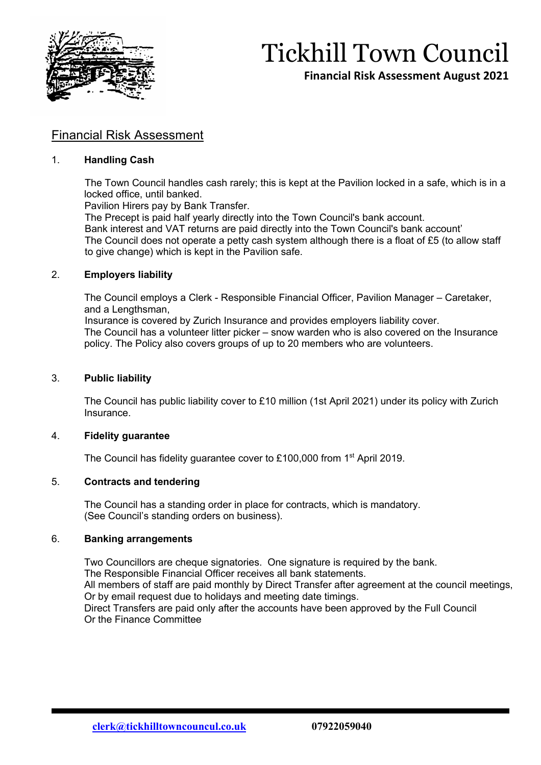

## Tickhill Town Council

**Financial Risk Assessment August 2021**

### Financial Risk Assessment

#### 1. **Handling Cash**

 The Town Council handles cash rarely; this is kept at the Pavilion locked in a safe, which is in a locked office, until banked.

Pavilion Hirers pay by Bank Transfer.

The Precept is paid half yearly directly into the Town Council's bank account.

 Bank interest and VAT returns are paid directly into the Town Council's bank account' The Council does not operate a petty cash system although there is a float of £5 (to allow staff to give change) which is kept in the Pavilion safe.

#### 2. **Employers liability**

The Council employs a Clerk - Responsible Financial Officer, Pavilion Manager – Caretaker, and a Lengthsman,

Insurance is covered by Zurich Insurance and provides employers liability cover.

The Council has a volunteer litter picker – snow warden who is also covered on the Insurance policy. The Policy also covers groups of up to 20 members who are volunteers.

#### 3. **Public liability**

The Council has public liability cover to £10 million (1st April 2021) under its policy with Zurich Insurance.

#### 4. **Fidelity guarantee**

The Council has fidelity quarantee cover to £100,000 from 1<sup>st</sup> April 2019.

#### 5. **Contracts and tendering**

The Council has a standing order in place for contracts, which is mandatory. (See Council's standing orders on business).

#### 6. **Banking arrangements**

Two Councillors are cheque signatories. One signature is required by the bank. The Responsible Financial Officer receives all bank statements. All members of staff are paid monthly by Direct Transfer after agreement at the council meetings, Or by email request due to holidays and meeting date timings. Direct Transfers are paid only after the accounts have been approved by the Full Council Or the Finance Committee